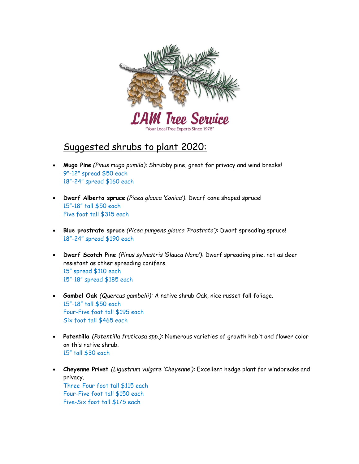

## Suggested shrubs to plant 2020:

- Mugo Pine (Pinus mugo pumilo): Shrubby pine, great for privacy and wind breaks! 9"-12" spread \$50 each 18"-24" spread \$160 each
- Dwarf Alberta spruce (Picea glauca 'Conica'): Dwarf cone shaped spruce! 15"-18" tall \$50 each Five foot tall \$315 each
- Blue prostrate spruce (Picea pungens glauca 'Prostrata'): Dwarf spreading spruce! 18"-24" spread \$190 each
- Dwarf Scotch Pine (Pinus sylvestris 'Glauca Nana'): Dwarf spreading pine, not as deer resistant as other spreading conifers. 15" spread \$110 each 15"-18" spread \$185 each
- Gambel Oak (Quercus gambelii): A native shrub Oak, nice russet fall foliage. 15"–18" tall \$50 each Four-Five foot tall \$195 each Six foot tall \$465 each
- Potentilla (Potentilla fruticosa spp.): Numerous varieties of growth habit and flower color on this native shrub. 15" tall \$30 each
- Cheyenne Privet (Ligustrum vulgare 'Cheyenne'): Excellent hedge plant for windbreaks and privacy. Three-Four foot tall \$115 each Four-Five foot tall \$150 each Five-Six foot tall \$175 each